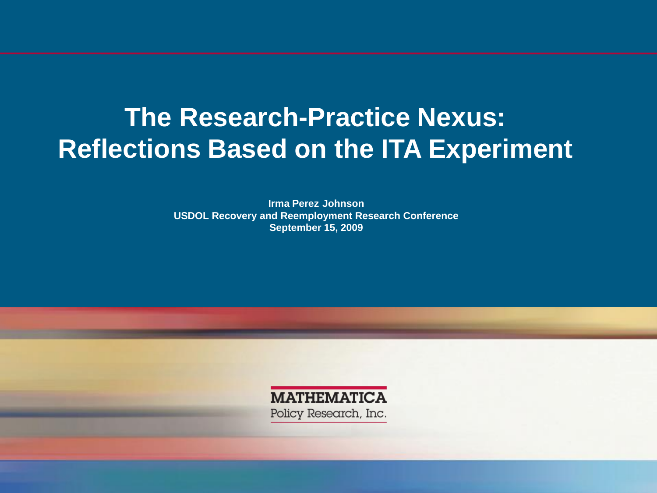# **Reflections Based on the ITA Experiment The Research-Practice Nexus:**

**- Irma Perez Johnson September 15, 2009 USDOL Recovery and Reemployment Research Conference**

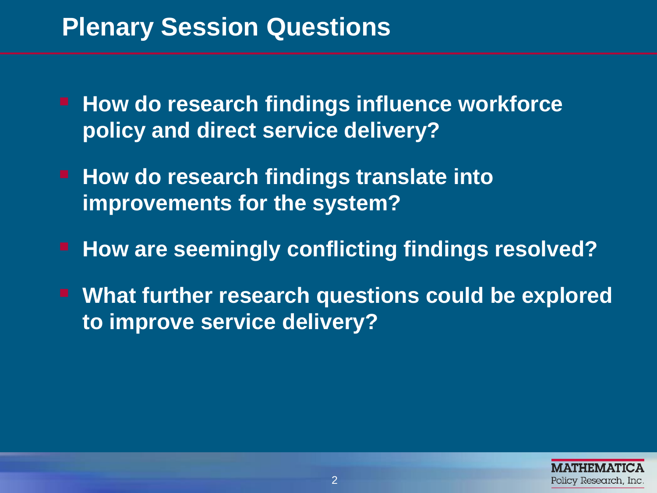### **Plenary Session Questions**

- **How do research findings influence workforce policy and direct service delivery?**
- **improvements for the system? How do research findings translate into**
- **How are seemingly conflicting findings resolved?**
- **What further research questions could be explored to improve service delivery?**

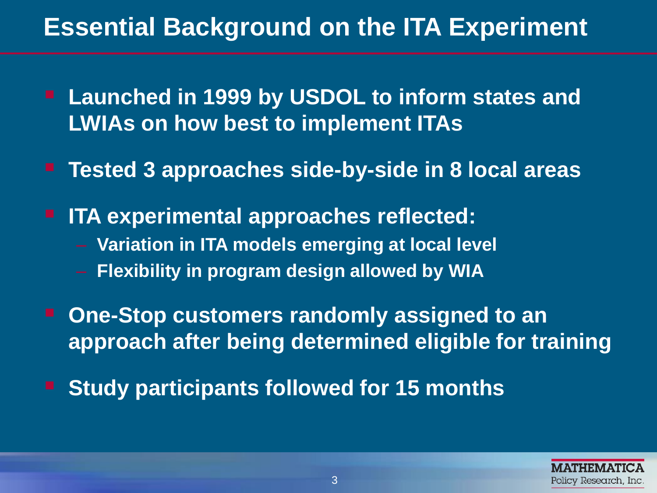# **Essential Background on the ITA Experiment**

- **LWIAs on how best to implement ITAs Launched in 1999 by USDOL to inform states and**
- **Tested 3 approaches side-by-side in 8 local areas**
- **ITA experimental approaches reflected:** 
	- **Variation in ITA models emerging at local level**
	- **Flexibility in program design allowed by WIA**
- **One-Stop customers randomly assigned to an approach after being determined eligible for training**
- **Study participants followed for 15 months**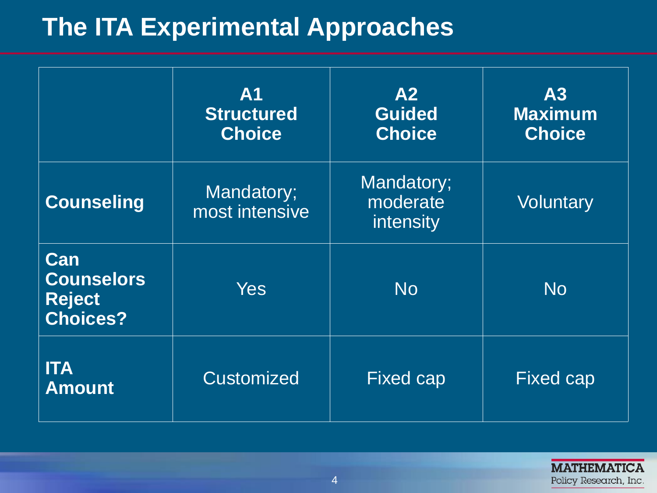# **The ITA Experimental Approaches**

|                                                              | <b>A1</b><br><b>Structured</b><br><b>Choice</b> | A2<br><b>Guided</b><br><b>Choice</b> | A3<br><b>Maximum</b><br><b>Choice</b> |
|--------------------------------------------------------------|-------------------------------------------------|--------------------------------------|---------------------------------------|
| <b>Counseling</b>                                            | Mandatory;<br>most intensive                    | Mandatory;<br>moderate<br>intensity  | <b>Voluntary</b>                      |
| Can<br><b>Counselors</b><br><b>Reject</b><br><b>Choices?</b> | <b>Yes</b>                                      | <b>No</b>                            | <b>No</b>                             |
| <b>ITA</b><br><b>Amount</b>                                  | <b>Customized</b>                               | <b>Fixed cap</b>                     | <b>Fixed cap</b>                      |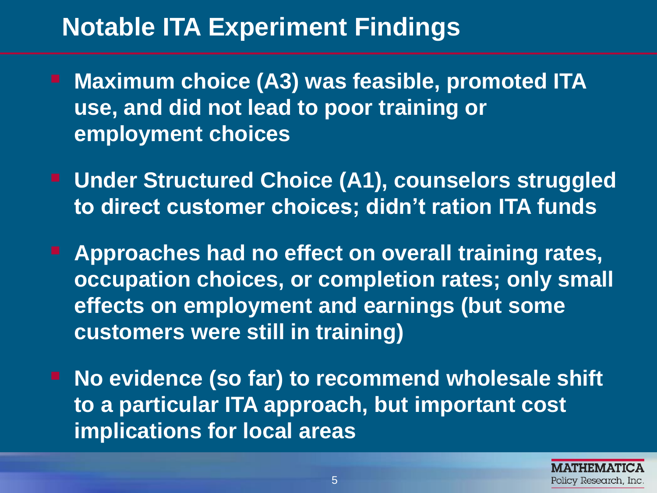# **Notable ITA Experiment Findings**

- **Maximum choice (A3) was feasible, promoted ITA use, and did not lead to poor training or employment choices**
- **to direct customer choices; didn't ration ITA funds E** Under Structured Choice (A1), counselors struggled
- **occupation choices, or completion rates; only small Approaches had no effect on overall training rates, effects on employment and earnings (but some customers were still in training)**
- **No evidence (so far) to recommend wholesale shift to a particular ITA approach, but important cost implications for local areas**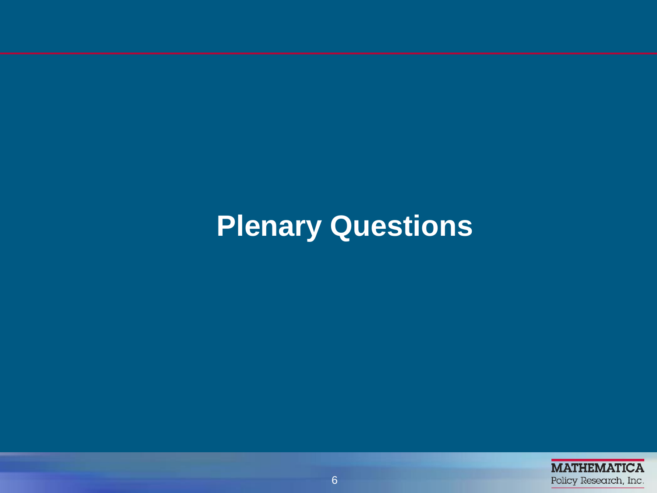# **Plenary Questions**

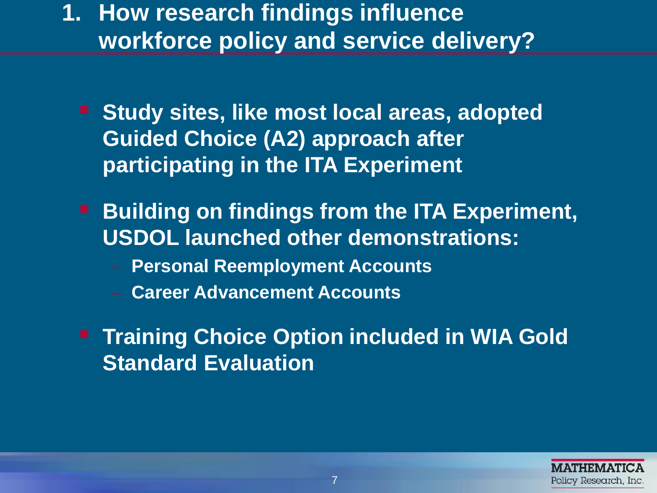**workforce policy and service delivery? 1. How research findings influence** 

- **F** Study sites, like most local areas, adopted **Guided Choice (A2) approach after participating in the ITA Experiment**
- **Building on findings from the ITA Experiment, USDOL launched other demonstrations:** 
	- **Personal Reemployment Accounts**
	- **Career Advancement Accounts**
- **Training Choice Option included in WIA Gold Standard Evaluation**

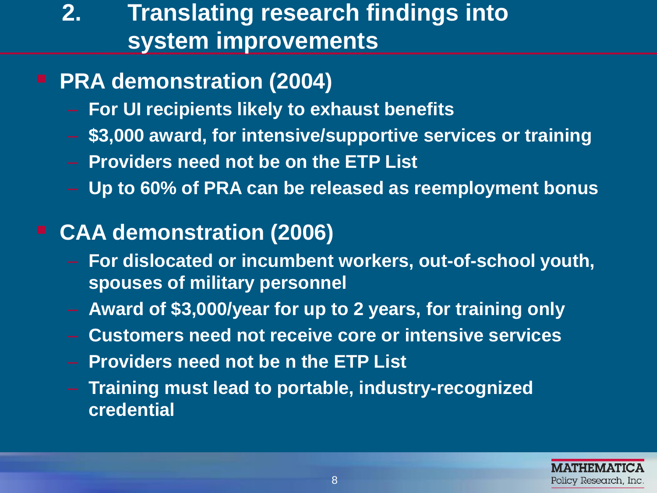## **2. Translating research findings into system improvements**

#### **PRA demonstration (2004)**

- – **For UI recipients likely to exhaust benefits**
- \$3,000 award, for intensive/supportive services or training
- – **Providers need not be on the ETP List**
- Up to 60% of PRA can be released as reemployment bonus

#### **CAA demonstration (2006)**

- – **For dislocated or incumbent workers, out-of-school youth, spouses of military personnel**
- Award of \$3,000/year for up to 2 years, for training only
- – **Customers need not receive core or intensive services**
- **Providers need not be n the ETP List**
- **Training must lead to portable, industry-recognized credential**

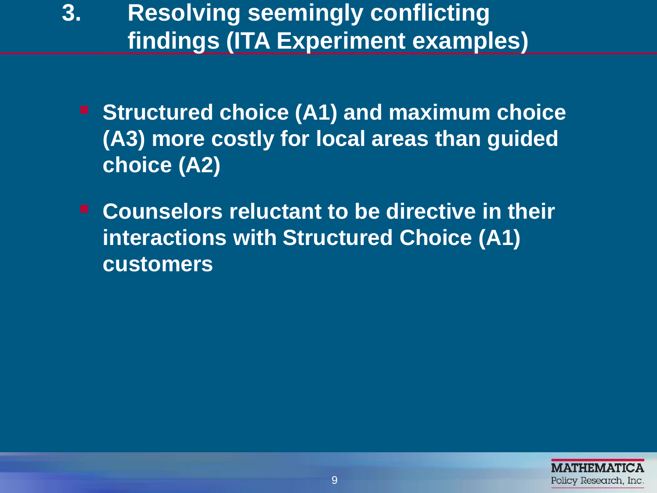- **3. Resolving seemingly conflicting findings (ITA Experiment examples)**
	- **(A3) more costly for local areas than guided Structured choice (A1) and maximum choice choice (A2)**
	- **Counselors reluctant to be directive in their interactions with Structured Choice (A1) customers**

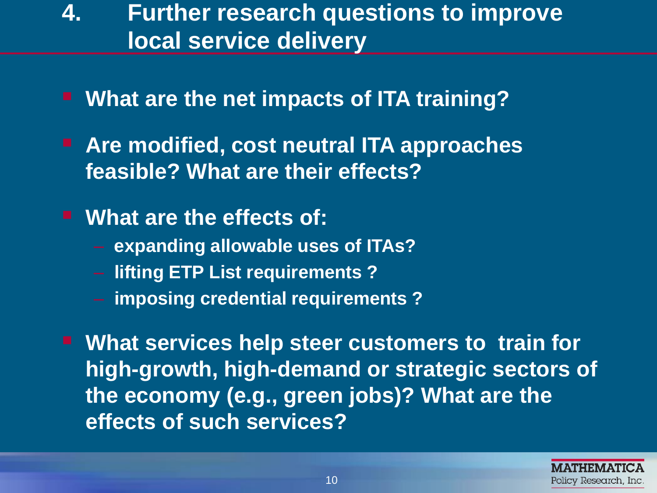### **4. Further research questions to improve local service delivery**

- **What are the net impacts of ITA training?**
- **feasible? What are their effects? Are modified, cost neutral ITA approaches**

**What are the effects of:** 

- **expanding allowable uses of ITAs?**
- **lifting ETP List requirements ?**
- **imposing credential requirements ?**

 **What services help steer customers to train for high-growth, high-demand or strategic sectors of the economy (e.g., green jobs)? What are the effects of such services?**